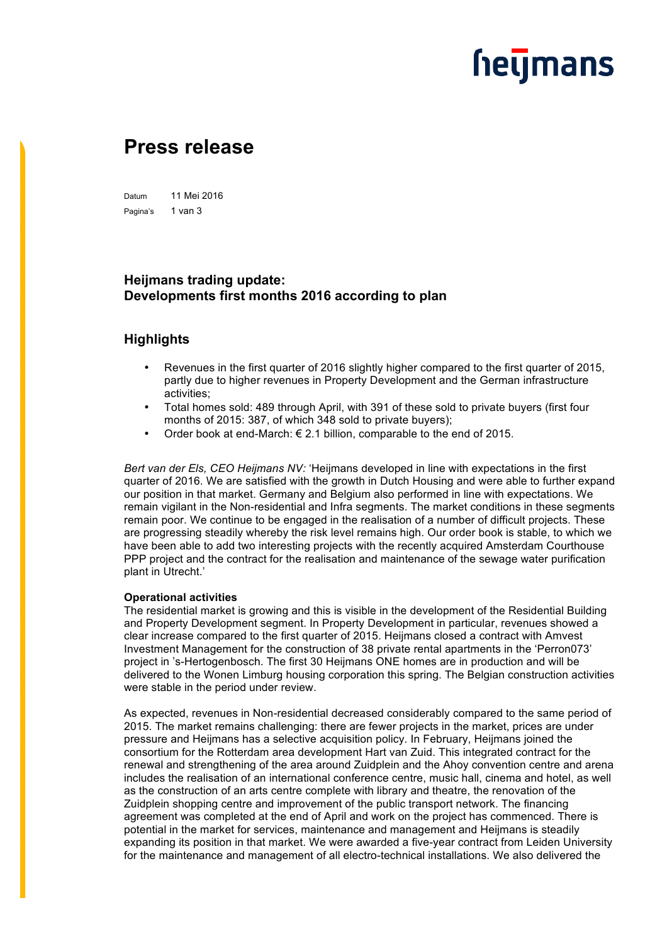## **heymans**

### **Press release**

Datum 11 Mei 2016 Pagina's 1 van 3

### **Heijmans trading update: Developments first months 2016 according to plan**

### **Highlights**

- Revenues in the first quarter of 2016 slightly higher compared to the first quarter of 2015, partly due to higher revenues in Property Development and the German infrastructure activities;
- Total homes sold: 489 through April, with 391 of these sold to private buyers (first four months of 2015: 387, of which 348 sold to private buyers);
- Order book at end-March:  $\epsilon$  2.1 billion, comparable to the end of 2015.

*Bert van der Els, CEO Heijmans NV:* 'Heijmans developed in line with expectations in the first quarter of 2016. We are satisfied with the growth in Dutch Housing and were able to further expand our position in that market. Germany and Belgium also performed in line with expectations. We remain vigilant in the Non-residential and Infra segments. The market conditions in these segments remain poor. We continue to be engaged in the realisation of a number of difficult projects. These are progressing steadily whereby the risk level remains high. Our order book is stable, to which we have been able to add two interesting projects with the recently acquired Amsterdam Courthouse PPP project and the contract for the realisation and maintenance of the sewage water purification plant in Utrecht.'

#### **Operational activities**

The residential market is growing and this is visible in the development of the Residential Building and Property Development segment. In Property Development in particular, revenues showed a clear increase compared to the first quarter of 2015. Heijmans closed a contract with Amvest Investment Management for the construction of 38 private rental apartments in the 'Perron073' project in 's-Hertogenbosch. The first 30 Heijmans ONE homes are in production and will be delivered to the Wonen Limburg housing corporation this spring. The Belgian construction activities were stable in the period under review.

As expected, revenues in Non-residential decreased considerably compared to the same period of 2015. The market remains challenging: there are fewer projects in the market, prices are under pressure and Heijmans has a selective acquisition policy. In February, Heijmans joined the consortium for the Rotterdam area development Hart van Zuid. This integrated contract for the renewal and strengthening of the area around Zuidplein and the Ahoy convention centre and arena includes the realisation of an international conference centre, music hall, cinema and hotel, as well as the construction of an arts centre complete with library and theatre, the renovation of the Zuidplein shopping centre and improvement of the public transport network. The financing agreement was completed at the end of April and work on the project has commenced. There is potential in the market for services, maintenance and management and Heijmans is steadily expanding its position in that market. We were awarded a five-year contract from Leiden University for the maintenance and management of all electro-technical installations. We also delivered the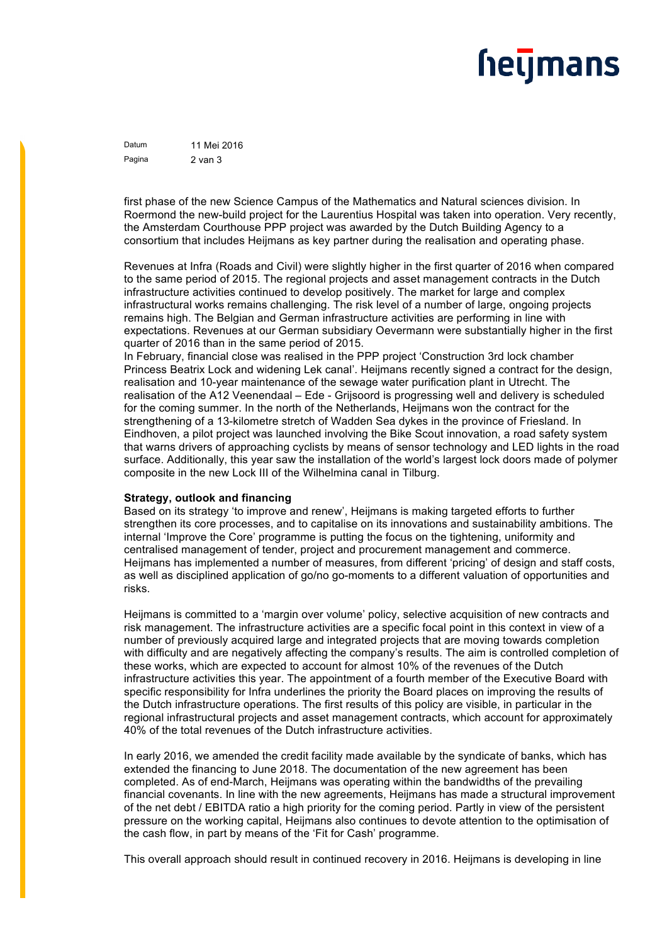# **heymans**

Datum 11 Mei 2016 Pagina 2 van 3

first phase of the new Science Campus of the Mathematics and Natural sciences division. In Roermond the new-build project for the Laurentius Hospital was taken into operation. Very recently, the Amsterdam Courthouse PPP project was awarded by the Dutch Building Agency to a consortium that includes Heijmans as key partner during the realisation and operating phase.

Revenues at Infra (Roads and Civil) were slightly higher in the first quarter of 2016 when compared to the same period of 2015. The regional projects and asset management contracts in the Dutch infrastructure activities continued to develop positively. The market for large and complex infrastructural works remains challenging. The risk level of a number of large, ongoing projects remains high. The Belgian and German infrastructure activities are performing in line with expectations. Revenues at our German subsidiary Oevermann were substantially higher in the first quarter of 2016 than in the same period of 2015.

In February, financial close was realised in the PPP project 'Construction 3rd lock chamber Princess Beatrix Lock and widening Lek canal'. Heijmans recently signed a contract for the design, realisation and 10-year maintenance of the sewage water purification plant in Utrecht. The realisation of the A12 Veenendaal – Ede - Grijsoord is progressing well and delivery is scheduled for the coming summer. In the north of the Netherlands, Heijmans won the contract for the strengthening of a 13-kilometre stretch of Wadden Sea dykes in the province of Friesland. In Eindhoven, a pilot project was launched involving the Bike Scout innovation, a road safety system that warns drivers of approaching cyclists by means of sensor technology and LED lights in the road surface. Additionally, this year saw the installation of the world's largest lock doors made of polymer composite in the new Lock III of the Wilhelmina canal in Tilburg.

#### **Strategy, outlook and financing**

Based on its strategy 'to improve and renew', Heijmans is making targeted efforts to further strengthen its core processes, and to capitalise on its innovations and sustainability ambitions. The internal 'Improve the Core' programme is putting the focus on the tightening, uniformity and centralised management of tender, project and procurement management and commerce. Heijmans has implemented a number of measures, from different 'pricing' of design and staff costs, as well as disciplined application of go/no go-moments to a different valuation of opportunities and risks.

Heijmans is committed to a 'margin over volume' policy, selective acquisition of new contracts and risk management. The infrastructure activities are a specific focal point in this context in view of a number of previously acquired large and integrated projects that are moving towards completion with difficulty and are negatively affecting the company's results. The aim is controlled completion of these works, which are expected to account for almost 10% of the revenues of the Dutch infrastructure activities this year. The appointment of a fourth member of the Executive Board with specific responsibility for Infra underlines the priority the Board places on improving the results of the Dutch infrastructure operations. The first results of this policy are visible, in particular in the regional infrastructural projects and asset management contracts, which account for approximately 40% of the total revenues of the Dutch infrastructure activities.

In early 2016, we amended the credit facility made available by the syndicate of banks, which has extended the financing to June 2018. The documentation of the new agreement has been completed. As of end-March, Heijmans was operating within the bandwidths of the prevailing financial covenants. In line with the new agreements, Heijmans has made a structural improvement of the net debt / EBITDA ratio a high priority for the coming period. Partly in view of the persistent pressure on the working capital, Heijmans also continues to devote attention to the optimisation of the cash flow, in part by means of the 'Fit for Cash' programme.

This overall approach should result in continued recovery in 2016. Heijmans is developing in line